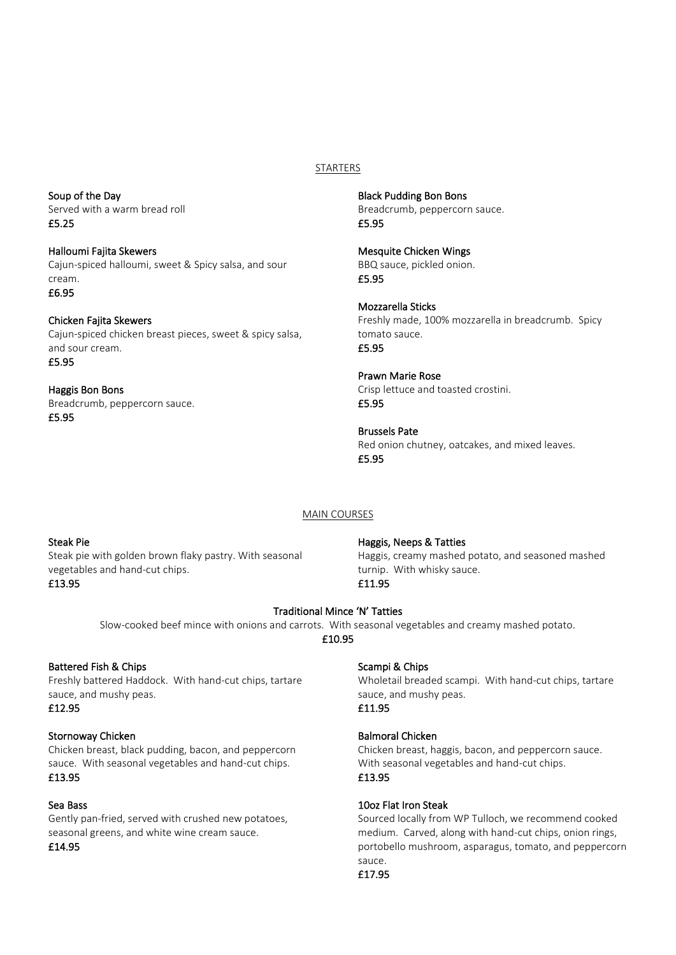# STARTERS

Soup of the Day Served with a warm bread roll £5.25

Halloumi Fajita Skewers Cajun-spiced halloumi, sweet & Spicy salsa, and sour cream. £6.95

Chicken Fajita Skewers Cajun-spiced chicken breast pieces, sweet & spicy salsa, and sour cream. £5.95

Haggis Bon Bons Breadcrumb, peppercorn sauce. £5.95

Black Pudding Bon Bons Breadcrumb, peppercorn sauce. £5.95

Mesquite Chicken Wings BBQ sauce, pickled onion. £5.95

Mozzarella Sticks Freshly made, 100% mozzarella in breadcrumb. Spicy tomato sauce. £5.95

Prawn Marie Rose Crisp lettuce and toasted crostini. £5.95

Brussels Pate Red onion chutney, oatcakes, and mixed leaves. £5.95

# MAIN COURSES

# Steak Pie

Steak pie with golden brown flaky pastry. With seasonal vegetables and hand-cut chips. £13.95

# Haggis, Neeps & Tatties

Haggis, creamy mashed potato, and seasoned mashed turnip. With whisky sauce. £11.95

#### Traditional Mince 'N' Tatties

Slow-cooked beef mince with onions and carrots. With seasonal vegetables and creamy mashed potato. £10.95

# Battered Fish & Chips

Freshly battered Haddock. With hand-cut chips, tartare sauce, and mushy peas. £12.95

#### Stornoway Chicken

Chicken breast, black pudding, bacon, and peppercorn sauce. With seasonal vegetables and hand-cut chips. £13.95

#### Sea Bass

Gently pan-fried, served with crushed new potatoes, seasonal greens, and white wine cream sauce. £14.95

#### Scampi & Chips

Wholetail breaded scampi. With hand-cut chips, tartare sauce, and mushy peas. £11.95

# Balmoral Chicken

Chicken breast, haggis, bacon, and peppercorn sauce. With seasonal vegetables and hand-cut chips. £13.95

#### 10oz Flat Iron Steak

Sourced locally from WP Tulloch, we recommend cooked medium. Carved, along with hand-cut chips, onion rings, portobello mushroom, asparagus, tomato, and peppercorn sauce.

# £17.95